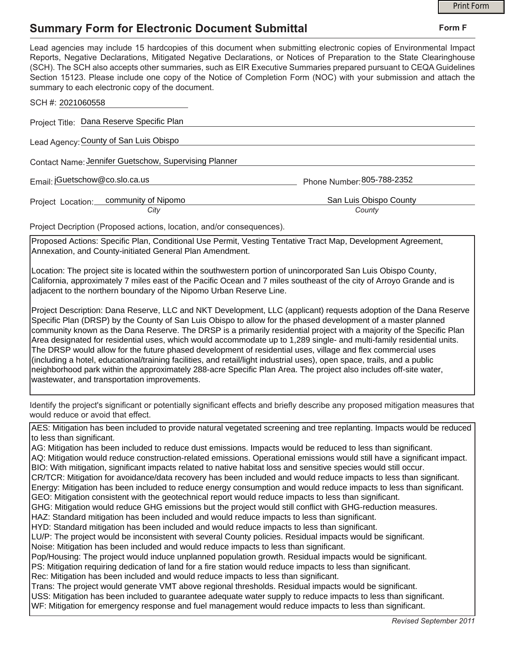## **Summary Form for Electronic Document Submittal**

|                                                                                                                                                                                                                                                                                                                                                                                                                                                                                                                                                                                                                                                                                                                                                                                                                                                                                                                                                                                                                                                                                                                                                                                                                                                                                                                                                                                                                                                                                                                                                                                                                                                                                                                                                                                                                                                                                                                                                   | <b>Print Form</b>                                                                                                                                                                                                                                                                                                                                                                                                                                                                     |
|---------------------------------------------------------------------------------------------------------------------------------------------------------------------------------------------------------------------------------------------------------------------------------------------------------------------------------------------------------------------------------------------------------------------------------------------------------------------------------------------------------------------------------------------------------------------------------------------------------------------------------------------------------------------------------------------------------------------------------------------------------------------------------------------------------------------------------------------------------------------------------------------------------------------------------------------------------------------------------------------------------------------------------------------------------------------------------------------------------------------------------------------------------------------------------------------------------------------------------------------------------------------------------------------------------------------------------------------------------------------------------------------------------------------------------------------------------------------------------------------------------------------------------------------------------------------------------------------------------------------------------------------------------------------------------------------------------------------------------------------------------------------------------------------------------------------------------------------------------------------------------------------------------------------------------------------------|---------------------------------------------------------------------------------------------------------------------------------------------------------------------------------------------------------------------------------------------------------------------------------------------------------------------------------------------------------------------------------------------------------------------------------------------------------------------------------------|
| <b>Summary Form for Electronic Document Submittal</b>                                                                                                                                                                                                                                                                                                                                                                                                                                                                                                                                                                                                                                                                                                                                                                                                                                                                                                                                                                                                                                                                                                                                                                                                                                                                                                                                                                                                                                                                                                                                                                                                                                                                                                                                                                                                                                                                                             | Form F                                                                                                                                                                                                                                                                                                                                                                                                                                                                                |
| summary to each electronic copy of the document.                                                                                                                                                                                                                                                                                                                                                                                                                                                                                                                                                                                                                                                                                                                                                                                                                                                                                                                                                                                                                                                                                                                                                                                                                                                                                                                                                                                                                                                                                                                                                                                                                                                                                                                                                                                                                                                                                                  | Lead agencies may include 15 hardcopies of this document when submitting electronic copies of Environmental Impact<br>Reports, Negative Declarations, Mitigated Negative Declarations, or Notices of Preparation to the State Clearinghouse<br>(SCH). The SCH also accepts other summaries, such as EIR Executive Summaries prepared pursuant to CEQA Guidelines<br>Section 15123. Please include one copy of the Notice of Completion Form (NOC) with your submission and attach the |
| SCH #: 2021060558                                                                                                                                                                                                                                                                                                                                                                                                                                                                                                                                                                                                                                                                                                                                                                                                                                                                                                                                                                                                                                                                                                                                                                                                                                                                                                                                                                                                                                                                                                                                                                                                                                                                                                                                                                                                                                                                                                                                 |                                                                                                                                                                                                                                                                                                                                                                                                                                                                                       |
| Project Title: Dana Reserve Specific Plan                                                                                                                                                                                                                                                                                                                                                                                                                                                                                                                                                                                                                                                                                                                                                                                                                                                                                                                                                                                                                                                                                                                                                                                                                                                                                                                                                                                                                                                                                                                                                                                                                                                                                                                                                                                                                                                                                                         |                                                                                                                                                                                                                                                                                                                                                                                                                                                                                       |
| Lead Agency: County of San Luis Obispo                                                                                                                                                                                                                                                                                                                                                                                                                                                                                                                                                                                                                                                                                                                                                                                                                                                                                                                                                                                                                                                                                                                                                                                                                                                                                                                                                                                                                                                                                                                                                                                                                                                                                                                                                                                                                                                                                                            |                                                                                                                                                                                                                                                                                                                                                                                                                                                                                       |
| Contact Name: Jennifer Guetschow, Supervising Planner                                                                                                                                                                                                                                                                                                                                                                                                                                                                                                                                                                                                                                                                                                                                                                                                                                                                                                                                                                                                                                                                                                                                                                                                                                                                                                                                                                                                                                                                                                                                                                                                                                                                                                                                                                                                                                                                                             |                                                                                                                                                                                                                                                                                                                                                                                                                                                                                       |
| Email: jGuetschow@co.slo.ca.us                                                                                                                                                                                                                                                                                                                                                                                                                                                                                                                                                                                                                                                                                                                                                                                                                                                                                                                                                                                                                                                                                                                                                                                                                                                                                                                                                                                                                                                                                                                                                                                                                                                                                                                                                                                                                                                                                                                    | Phone Number: 805-788-2352                                                                                                                                                                                                                                                                                                                                                                                                                                                            |
| Project Location: community of Nipomo<br>City                                                                                                                                                                                                                                                                                                                                                                                                                                                                                                                                                                                                                                                                                                                                                                                                                                                                                                                                                                                                                                                                                                                                                                                                                                                                                                                                                                                                                                                                                                                                                                                                                                                                                                                                                                                                                                                                                                     | San Luis Obispo County<br>County                                                                                                                                                                                                                                                                                                                                                                                                                                                      |
| Project Decription (Proposed actions, location, and/or consequences).                                                                                                                                                                                                                                                                                                                                                                                                                                                                                                                                                                                                                                                                                                                                                                                                                                                                                                                                                                                                                                                                                                                                                                                                                                                                                                                                                                                                                                                                                                                                                                                                                                                                                                                                                                                                                                                                             |                                                                                                                                                                                                                                                                                                                                                                                                                                                                                       |
| Proposed Actions: Specific Plan, Conditional Use Permit, Vesting Tentative Tract Map, Development Agreement,<br>Annexation, and County-initiated General Plan Amendment.                                                                                                                                                                                                                                                                                                                                                                                                                                                                                                                                                                                                                                                                                                                                                                                                                                                                                                                                                                                                                                                                                                                                                                                                                                                                                                                                                                                                                                                                                                                                                                                                                                                                                                                                                                          |                                                                                                                                                                                                                                                                                                                                                                                                                                                                                       |
| Location: The project site is located within the southwestern portion of unincorporated San Luis Obispo County,<br>California, approximately 7 miles east of the Pacific Ocean and 7 miles southeast of the city of Arroyo Grande and is<br>adjacent to the northern boundary of the Nipomo Urban Reserve Line.                                                                                                                                                                                                                                                                                                                                                                                                                                                                                                                                                                                                                                                                                                                                                                                                                                                                                                                                                                                                                                                                                                                                                                                                                                                                                                                                                                                                                                                                                                                                                                                                                                   |                                                                                                                                                                                                                                                                                                                                                                                                                                                                                       |
| Project Description: Dana Reserve, LLC and NKT Development, LLC (applicant) requests adoption of the Dana Reserve<br>Specific Plan (DRSP) by the County of San Luis Obispo to allow for the phased development of a master planned<br>community known as the Dana Reserve. The DRSP is a primarily residential project with a majority of the Specific Plan<br>Area designated for residential uses, which would accommodate up to 1,289 single- and multi-family residential units.<br>The DRSP would allow for the future phased development of residential uses, village and flex commercial uses<br>(including a hotel, educational/training facilities, and retail/light industrial uses), open space, trails, and a public<br> neighborhood park within the approximately 288-acre Specific Plan Area. The project also includes off-site water,<br>wastewater, and transportation improvements.                                                                                                                                                                                                                                                                                                                                                                                                                                                                                                                                                                                                                                                                                                                                                                                                                                                                                                                                                                                                                                            |                                                                                                                                                                                                                                                                                                                                                                                                                                                                                       |
| would reduce or avoid that effect.                                                                                                                                                                                                                                                                                                                                                                                                                                                                                                                                                                                                                                                                                                                                                                                                                                                                                                                                                                                                                                                                                                                                                                                                                                                                                                                                                                                                                                                                                                                                                                                                                                                                                                                                                                                                                                                                                                                | Identify the project's significant or potentially significant effects and briefly describe any proposed mitigation measures that                                                                                                                                                                                                                                                                                                                                                      |
| to less than significant.<br>AG: Mitigation has been included to reduce dust emissions. Impacts would be reduced to less than significant.<br>AQ: Mitigation would reduce construction-related emissions. Operational emissions would still have a significant impact.<br>BIO: With mitigation, significant impacts related to native habitat loss and sensitive species would still occur.<br>CR/TCR: Mitigation for avoidance/data recovery has been included and would reduce impacts to less than significant.<br>Energy: Mitigation has been included to reduce energy consumption and would reduce impacts to less than significant.<br>GEO: Mitigation consistent with the geotechnical report would reduce impacts to less than significant.<br>GHG: Mitigation would reduce GHG emissions but the project would still conflict with GHG-reduction measures.<br>HAZ: Standard mitigation has been included and would reduce impacts to less than significant.<br>HYD: Standard mitigation has been included and would reduce impacts to less than significant.<br>LU/P: The project would be inconsistent with several County policies. Residual impacts would be significant.<br>Noise: Mitigation has been included and would reduce impacts to less than significant.<br>Pop/Housing: The project would induce unplanned population growth. Residual impacts would be significant.<br>PS: Mitigation requiring dedication of land for a fire station would reduce impacts to less than significant.<br>Rec: Mitigation has been included and would reduce impacts to less than significant.<br>Trans: The project would generate VMT above regional thresholds. Residual impacts would be significant.<br>USS: Mitigation has been included to guarantee adequate water supply to reduce impacts to less than significant.<br>WF: Mitigation for emergency response and fuel management would reduce impacts to less than significant. | AES: Mitigation has been included to provide natural vegetated screening and tree replanting. Impacts would be reduced                                                                                                                                                                                                                                                                                                                                                                |